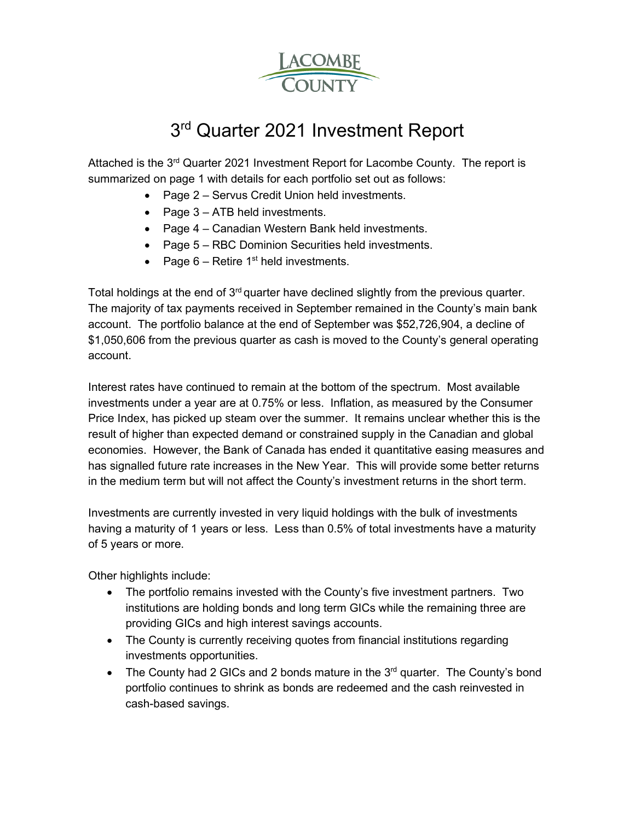

# 3<sup>rd</sup> Quarter 2021 Investment Report

Attached is the 3rd Quarter 2021 Investment Report for Lacombe County. The report is summarized on page 1 with details for each portfolio set out as follows:

- Page 2 Servus Credit Union held investments.
- Page 3 ATB held investments.
- Page 4 Canadian Western Bank held investments.
- Page 5 RBC Dominion Securities held investments.
- Page  $6$  Retire 1<sup>st</sup> held investments.

Total holdings at the end of  $3<sup>rd</sup>$  quarter have declined slightly from the previous quarter. The majority of tax payments received in September remained in the County's main bank account. The portfolio balance at the end of September was \$52,726,904, a decline of \$1,050,606 from the previous quarter as cash is moved to the County's general operating account.

Interest rates have continued to remain at the bottom of the spectrum. Most available investments under a year are at 0.75% or less. Inflation, as measured by the Consumer Price Index, has picked up steam over the summer. It remains unclear whether this is the result of higher than expected demand or constrained supply in the Canadian and global economies. However, the Bank of Canada has ended it quantitative easing measures and has signalled future rate increases in the New Year. This will provide some better returns in the medium term but will not affect the County's investment returns in the short term.

Investments are currently invested in very liquid holdings with the bulk of investments having a maturity of 1 years or less. Less than 0.5% of total investments have a maturity of 5 years or more.

Other highlights include:

- The portfolio remains invested with the County's five investment partners. Two institutions are holding bonds and long term GICs while the remaining three are providing GICs and high interest savings accounts.
- The County is currently receiving quotes from financial institutions regarding investments opportunities.
- The County had 2 GICs and 2 bonds mature in the  $3<sup>rd</sup>$  quarter. The County's bond portfolio continues to shrink as bonds are redeemed and the cash reinvested in cash-based savings.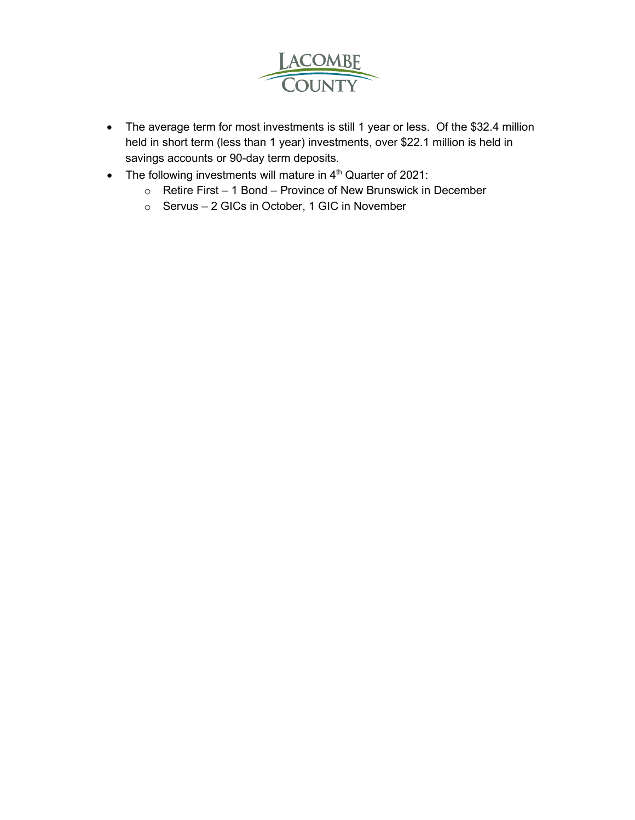

- The average term for most investments is still 1 year or less. Of the \$32.4 million held in short term (less than 1 year) investments, over \$22.1 million is held in savings accounts or 90-day term deposits.
- The following investments will mature in 4<sup>th</sup> Quarter of 2021:
	- o Retire First 1 Bond Province of New Brunswick in December
	- o Servus 2 GICs in October, 1 GIC in November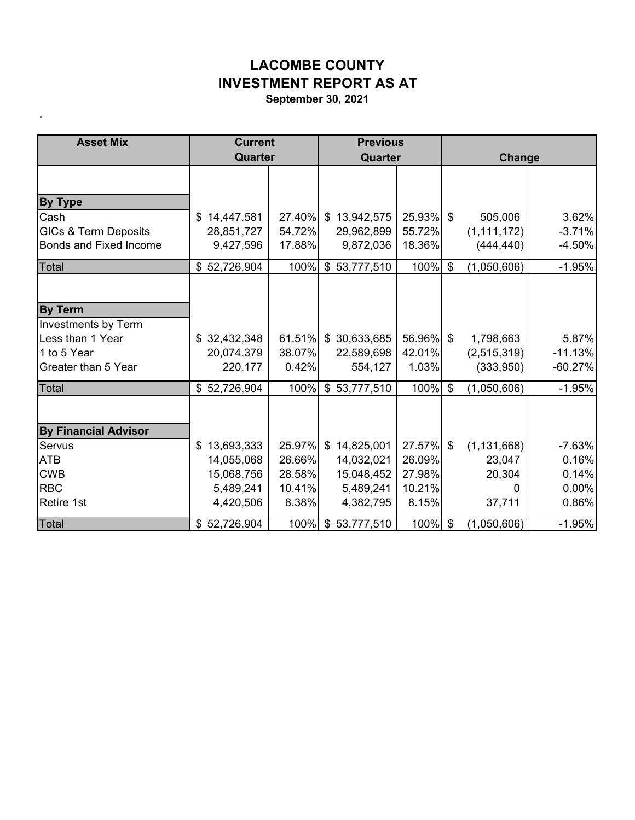## **LACOMBE COUNTY INVESTMENT REPORT AS AT**

**September 30, 2021**

.

| <b>Asset Mix</b>                | <b>Current</b>   |              | <b>Previous</b>         |        |                           |               |           |
|---------------------------------|------------------|--------------|-------------------------|--------|---------------------------|---------------|-----------|
|                                 | Quarter          |              | Quarter                 |        |                           | Change        |           |
|                                 |                  |              |                         |        |                           |               |           |
| <b>By Type</b>                  |                  |              |                         |        |                           |               |           |
| Cash                            | \$14,447,581     |              | 27.40% \$13,942,575     | 25.93% | \$                        | 505,006       | 3.62%     |
| <b>GICs &amp; Term Deposits</b> | 28,851,727       | 54.72%       | 29,962,899              | 55.72% |                           | (1, 111, 172) | $-3.71%$  |
| <b>Bonds and Fixed Income</b>   | 9,427,596        | 17.88%       | 9,872,036               | 18.36% |                           | (444, 440)    | $-4.50%$  |
| Total                           | 52,726,904<br>\$ | 100%         | \$53,777,510            | 100%   | $\mathbf{\$}$             | (1,050,606)   | $-1.95%$  |
|                                 |                  |              |                         |        |                           |               |           |
| <b>By Term</b>                  |                  |              |                         |        |                           |               |           |
| Investments by Term             |                  |              |                         |        |                           |               |           |
| Less than 1 Year                | \$32,432,348     |              | $61.51\%$ \$ 30,633,685 | 56.96% | \$                        | 1,798,663     | 5.87%     |
| 1 to 5 Year                     | 20,074,379       | 38.07%       | 22,589,698              | 42.01% |                           | (2,515,319)   | $-11.13%$ |
| Greater than 5 Year             | 220,177          | 0.42%        | 554,127                 | 1.03%  |                           | (333,950)     | $-60.27%$ |
| Total                           | 52,726,904<br>\$ | 100%         | \$53,777,510            | 100%   | $\boldsymbol{\mathsf{S}}$ | (1,050,606)   | $-1.95%$  |
|                                 |                  |              |                         |        |                           |               |           |
| <b>By Financial Advisor</b>     |                  |              |                         |        |                           |               |           |
| Servus                          | 13,693,333<br>\$ | $25.97\%$ \$ | 14,825,001              | 27.57% | \$                        | (1, 131, 668) | $-7.63%$  |
| <b>ATB</b>                      | 14,055,068       | 26.66%       | 14,032,021              | 26.09% |                           | 23,047        | 0.16%     |
| <b>CWB</b>                      | 15,068,756       | 28.58%       | 15,048,452              | 27.98% |                           | 20,304        | 0.14%     |
| <b>RBC</b>                      | 5,489,241        | 10.41%       | 5,489,241               | 10.21% |                           | 0             | 0.00%     |
| <b>Retire 1st</b>               | 4,420,506        | 8.38%        | 4,382,795               | 8.15%  |                           | 37,711        | 0.86%     |
| Total                           | \$52,726,904     |              | 100% \$ 53,777,510      | 100%   | $\mathfrak{S}$            | (1,050,606)   | $-1.95%$  |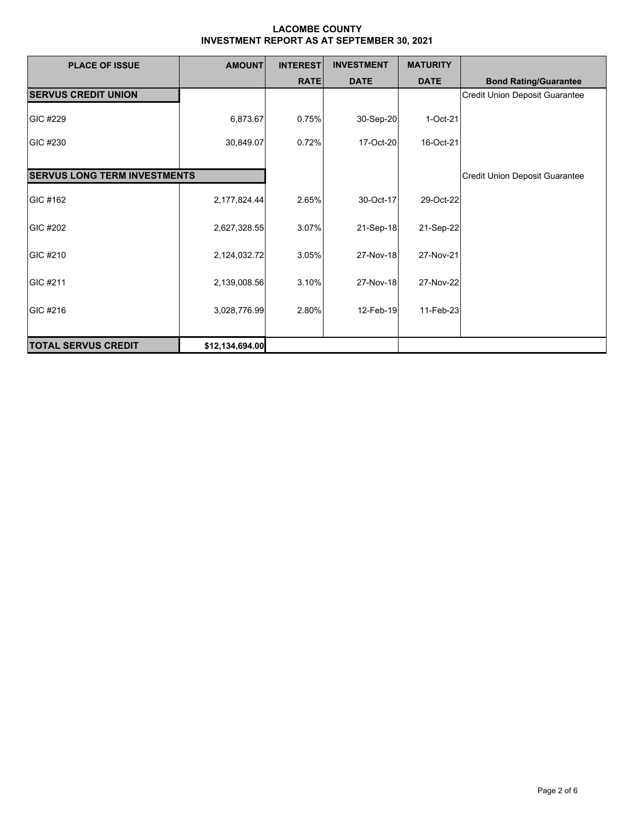| <b>PLACE OF ISSUE</b>               | <b>AMOUNT</b>   | <b>INTEREST</b> | <b>INVESTMENT</b> | <b>MATURITY</b> |                                       |
|-------------------------------------|-----------------|-----------------|-------------------|-----------------|---------------------------------------|
|                                     |                 | <b>RATE</b>     | <b>DATE</b>       | <b>DATE</b>     | <b>Bond Rating/Guarantee</b>          |
| <b>SERVUS CREDIT UNION</b>          |                 |                 |                   |                 | <b>Credit Union Deposit Guarantee</b> |
| GIC #229                            | 6,873.67        | 0.75%           | 30-Sep-20         | 1-Oct-21        |                                       |
| GIC #230                            | 30,849.07       | 0.72%           | 17-Oct-20         | 16-Oct-21       |                                       |
|                                     |                 |                 |                   |                 |                                       |
| <b>SERVUS LONG TERM INVESTMENTS</b> |                 |                 |                   |                 | Credit Union Deposit Guarantee        |
| GIC #162                            | 2,177,824.44    | 2.65%           | 30-Oct-17         | 29-Oct-22       |                                       |
| GIC #202                            | 2,627,328.55    | 3.07%           | 21-Sep-18         | 21-Sep-22       |                                       |
| GIC #210                            | 2,124,032.72    | 3.05%           | 27-Nov-18         | 27-Nov-21       |                                       |
| GIC #211                            | 2,139,008.56    | 3.10%           | 27-Nov-18         | 27-Nov-22       |                                       |
| GIC #216                            | 3,028,776.99    | 2.80%           | 12-Feb-19         | 11-Feb-23       |                                       |
| <b>TOTAL SERVUS CREDIT</b>          | \$12,134,694.00 |                 |                   |                 |                                       |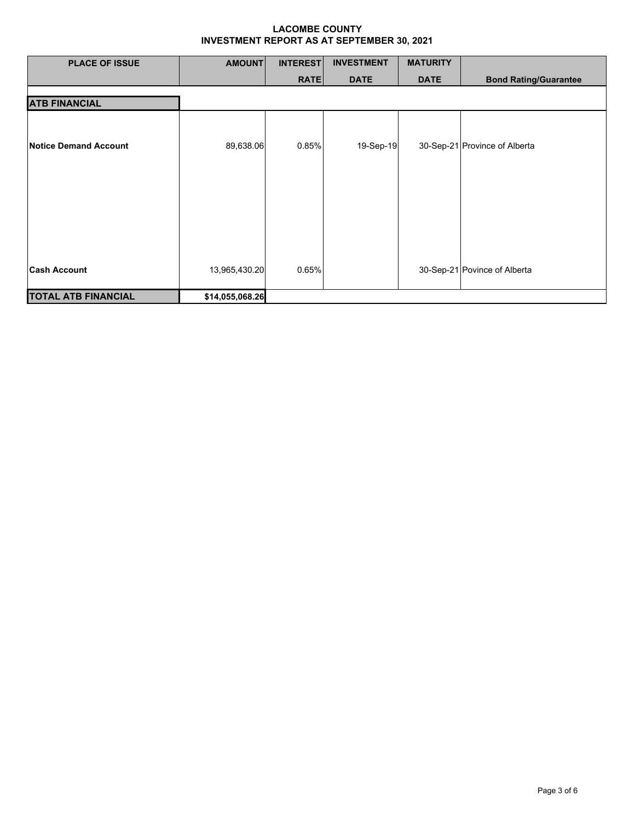| <b>PLACE OF ISSUE</b>        | <b>AMOUNT</b>   | <b>INTEREST</b> | <b>INVESTMENT</b> | <b>MATURITY</b> |                               |
|------------------------------|-----------------|-----------------|-------------------|-----------------|-------------------------------|
|                              |                 | <b>RATE</b>     | <b>DATE</b>       | <b>DATE</b>     | <b>Bond Rating/Guarantee</b>  |
| <b>ATB FINANCIAL</b>         |                 |                 |                   |                 |                               |
| <b>Notice Demand Account</b> | 89,638.06       | 0.85%           | 19-Sep-19         |                 | 30-Sep-21 Province of Alberta |
| <b>Cash Account</b>          | 13,965,430.20   | 0.65%           |                   |                 | 30-Sep-21 Povince of Alberta  |
| <b>TOTAL ATB FINANCIAL</b>   | \$14,055,068.26 |                 |                   |                 |                               |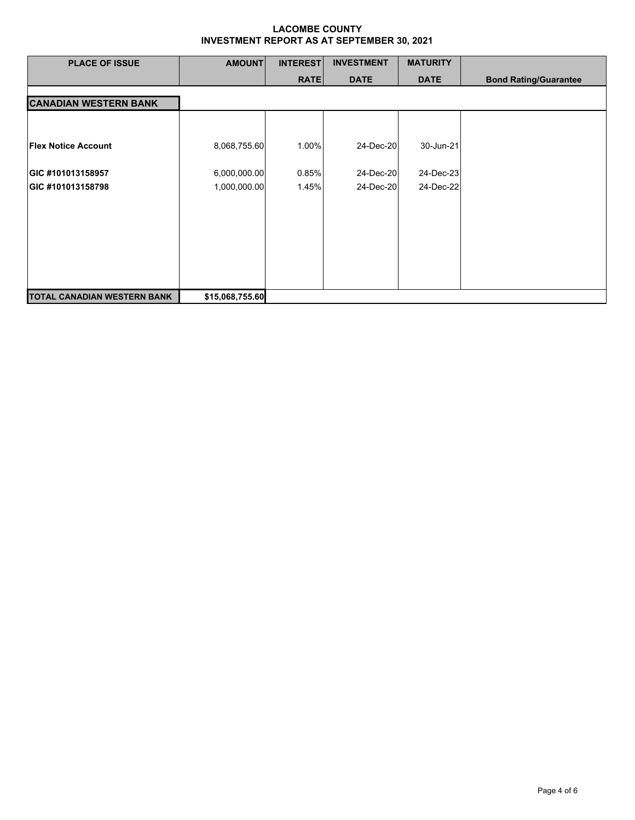| <b>PLACE OF ISSUE</b>        | <b>AMOUNT</b>   | <b>INTEREST</b> | <b>INVESTMENT</b> | <b>MATURITY</b> |                              |
|------------------------------|-----------------|-----------------|-------------------|-----------------|------------------------------|
|                              |                 | <b>RATE</b>     | <b>DATE</b>       | <b>DATE</b>     | <b>Bond Rating/Guarantee</b> |
| <b>CANADIAN WESTERN BANK</b> |                 |                 |                   |                 |                              |
|                              |                 |                 |                   |                 |                              |
| <b>Flex Notice Account</b>   | 8,068,755.60    | 1.00%           | 24-Dec-20         | 30-Jun-21       |                              |
| GIC #101013158957            | 6,000,000.00    | 0.85%           | 24-Dec-20         | 24-Dec-23       |                              |
| GIC #101013158798            | 1,000,000.00    | 1.45%           | 24-Dec-20         | 24-Dec-22       |                              |
|                              |                 |                 |                   |                 |                              |
|                              |                 |                 |                   |                 |                              |
|                              |                 |                 |                   |                 |                              |
|                              |                 |                 |                   |                 |                              |
| TOTAL CANADIAN WESTERN BANK  | \$15,068,755.60 |                 |                   |                 |                              |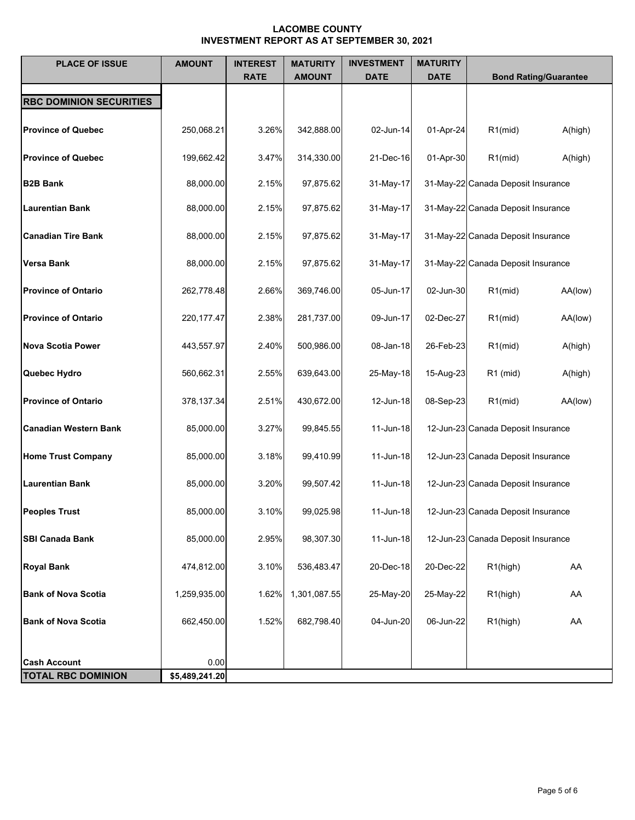| <b>PLACE OF ISSUE</b>          | <b>AMOUNT</b>  | <b>INTEREST</b><br><b>RATE</b> | <b>MATURITY</b><br><b>AMOUNT</b> | <b>INVESTMENT</b><br><b>DATE</b> | <b>MATURITY</b><br><b>DATE</b> | <b>Bond Rating/Guarantee</b>       |
|--------------------------------|----------------|--------------------------------|----------------------------------|----------------------------------|--------------------------------|------------------------------------|
| <b>RBC DOMINION SECURITIES</b> |                |                                |                                  |                                  |                                |                                    |
| <b>Province of Quebec</b>      | 250,068.21     | 3.26%                          | 342,888.00                       | 02-Jun-14                        | 01-Apr-24                      | $R1$ (mid)<br>A(high)              |
| <b>Province of Quebec</b>      | 199,662.42     | 3.47%                          | 314,330.00                       | 21-Dec-16                        | 01-Apr-30                      | $R1$ (mid)<br>A(high)              |
| <b>B2B Bank</b>                | 88,000.00      | 2.15%                          | 97,875.62                        | 31-May-17                        |                                | 31-May-22 Canada Deposit Insurance |
| <b>Laurentian Bank</b>         | 88,000.00      | 2.15%                          | 97,875.62                        | 31-May-17                        |                                | 31-May-22 Canada Deposit Insurance |
| <b>Canadian Tire Bank</b>      | 88,000.00      | 2.15%                          | 97,875.62                        | 31-May-17                        |                                | 31-May-22 Canada Deposit Insurance |
| <b>Versa Bank</b>              | 88,000.00      | 2.15%                          | 97,875.62                        | 31-May-17                        |                                | 31-May-22 Canada Deposit Insurance |
| <b>Province of Ontario</b>     | 262,778.48     | 2.66%                          | 369,746.00                       | 05-Jun-17                        | 02-Jun-30                      | $R1$ (mid)<br>AA(low)              |
| <b>Province of Ontario</b>     | 220, 177. 47   | 2.38%                          | 281,737.00                       | 09-Jun-17                        | 02-Dec-27                      | $R1$ (mid)<br>AA(low)              |
| <b>Nova Scotia Power</b>       | 443,557.97     | 2.40%                          | 500,986.00                       | 08-Jan-18                        | 26-Feb-23                      | $R1$ (mid)<br>A(high)              |
| Quebec Hydro                   | 560,662.31     | 2.55%                          | 639,643.00                       | 25-May-18                        | 15-Aug-23                      | $R1$ (mid)<br>A(high)              |
| <b>Province of Ontario</b>     | 378,137.34     | 2.51%                          | 430,672.00                       | 12-Jun-18                        | 08-Sep-23                      | $R1$ (mid)<br>AA(low)              |
|                                |                |                                |                                  |                                  |                                |                                    |
| <b>Canadian Western Bank</b>   | 85,000.00      | 3.27%                          | 99,845.55                        | 11-Jun-18                        |                                | 12-Jun-23 Canada Deposit Insurance |
| <b>Home Trust Company</b>      | 85,000.00      | 3.18%                          | 99,410.99                        | 11-Jun-18                        |                                | 12-Jun-23 Canada Deposit Insurance |
| <b>Laurentian Bank</b>         | 85,000.00      | 3.20%                          | 99,507.42                        | 11-Jun-18                        |                                | 12-Jun-23 Canada Deposit Insurance |
| <b>Peoples Trust</b>           | 85,000.00      | 3.10%                          | 99,025.98                        | 11-Jun-18                        |                                | 12-Jun-23 Canada Deposit Insurance |
| <b>SBI Canada Bank</b>         | 85,000.00      | 2.95%                          | 98,307.30                        | 11-Jun-18                        |                                | 12-Jun-23 Canada Deposit Insurance |
| <b>Royal Bank</b>              | 474,812.00     | 3.10%                          | 536,483.47                       | 20-Dec-18                        | 20-Dec-22                      | R1(high)<br>AA                     |
| <b>Bank of Nova Scotia</b>     | 1,259,935.00   | 1.62%                          | 1,301,087.55                     | 25-May-20                        | 25-May-22                      | R1(high)<br>AA                     |
| <b>Bank of Nova Scotia</b>     | 662,450.00     | 1.52%                          | 682,798.40                       | 04-Jun-20                        | 06-Jun-22                      | R1(high)<br>AA                     |
|                                |                |                                |                                  |                                  |                                |                                    |
| <b>Cash Account</b>            | 0.00           |                                |                                  |                                  |                                |                                    |
| <b>TOTAL RBC DOMINION</b>      | \$5,489,241.20 |                                |                                  |                                  |                                |                                    |